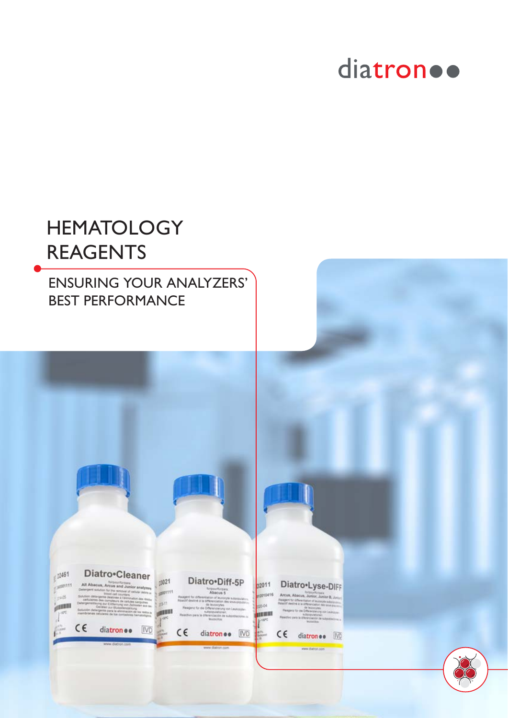## diatron ..

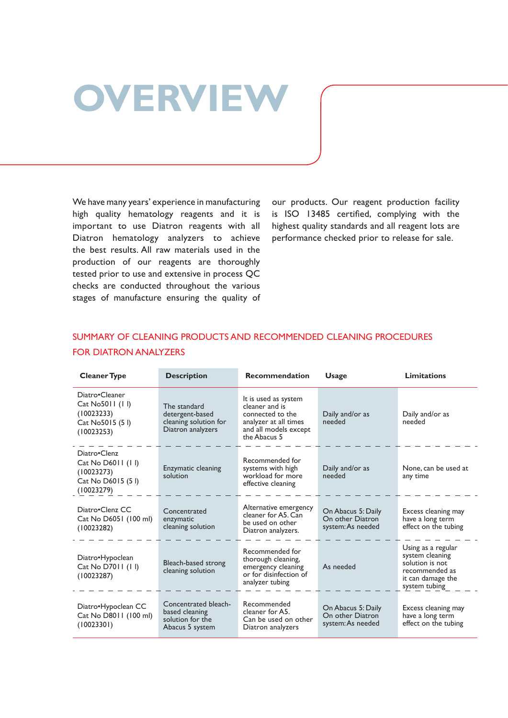# **OVERVIEW**

We have many years' experience in manufacturing high quality hematology reagents and it is important to use Diatron reagents with all Diatron hematology analyzers to achieve the best results. All raw materials used in the production of our reagents are thoroughly tested prior to use and extensive in process QC checks are conducted throughout the various stages of manufacture ensuring the quality of

our products. Our reagent production facility is ISO 13485 certified, complying with the highest quality standards and all reagent lots are performance checked prior to release for sale.

### SUMMARY OF CLEANING PRODUCTS AND RECOMMENDED CLEANING PROCEDURES FOR DIATRON ANALYZERS

| <b>Cleaner Type</b>                                                                | <b>Description</b>                                                            | <b>Recommendation</b>                                                                                                        | <b>Usage</b>                                                | <b>Limitations</b>                                                                                               |  |  |
|------------------------------------------------------------------------------------|-------------------------------------------------------------------------------|------------------------------------------------------------------------------------------------------------------------------|-------------------------------------------------------------|------------------------------------------------------------------------------------------------------------------|--|--|
| Diatro•Cleaner<br>Cat No5011 (11)<br>(10023233)<br>Cat No5015 (51)<br>(10023253)   | The standard<br>detergent-based<br>cleaning solution for<br>Diatron analyzers | It is used as system<br>cleaner and is<br>connected to the<br>analyzer at all times<br>and all models except<br>the Abacus 5 | Daily and/or as<br>needed                                   | Daily and/or as<br>needed                                                                                        |  |  |
| Diatro•Clenz<br>Cat No D6011 (11)<br>(10023273)<br>Cat No D6015 (51)<br>(10023279) | Enzymatic cleaning<br>solution                                                | Recommended for<br>systems with high<br>workload for more<br>effective cleaning                                              | Daily and/or as<br>needed                                   | None, can be used at<br>any time                                                                                 |  |  |
| Diatro•Clenz CC<br>Cat No D6051 (100 ml)<br>(10023282)                             | Concentrated<br>enzymatic<br>cleaning solution                                | Alternative emergency<br>cleaner for A5. Can<br>be used on other<br>Diatron analyzers.                                       | On Abacus 5: Daily<br>On other Diatron<br>system: As needed | Excess cleaning may<br>have a long term<br>effect on the tubing                                                  |  |  |
| Diatro•Hypoclean<br>Cat No D7011 (11)<br>(10023287)                                | Bleach-based strong<br>cleaning solution                                      | Recommended for<br>thorough cleaning,<br>emergency cleaning<br>or for disinfection of<br>analyzer tubing                     | As needed                                                   | Using as a regular<br>system cleaning<br>solution is not<br>recommended as<br>it can damage the<br>system tubing |  |  |
| Diatro•Hypoclean CC<br>Cat No D8011 (100 ml)<br>(10023301)                         | Concentrated bleach-<br>based cleaning<br>solution for the<br>Abacus 5 system | Recommended<br>cleaner for A5.<br>Can be used on other<br>Diatron analyzers                                                  | On Abacus 5: Daily<br>On other Diatron<br>system: As needed | Excess cleaning may<br>have a long term<br>effect on the tubing                                                  |  |  |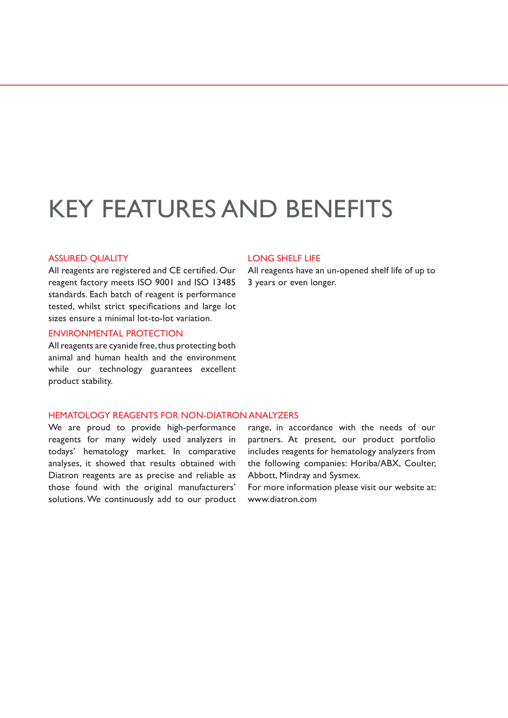## KEY FEATURES AND BENEFITS

#### ASSURED QUALITY

All reagents are registered and CE certified. Our reagent factory meets ISO 9001 and ISO 13485 standards. Each batch of reagent is performance tested, whilst strict specifications and large lot sizes ensure a minimal lot-to-lot variation.

#### ENVIRONMENTAL PROTECTION

All reagents are cyanide free, thus protecting both animal and human health and the environment while our technology guarantees excellent product stability.

#### LONG SHELF LIFE

All reagents have an un-opened shelf life of up to 3 years or even longer.

#### HEMATOLOGY REAGENTS FOR NON-DIATRON ANALYZERS

We are proud to provide high-performance reagents for many widely used analyzers in todays' hematology market. In comparative analyses, it showed that results obtained with Diatron reagents are as precise and reliable as those found with the original manufacturers' solutions. We continuously add to our product

range, in accordance with the needs of our partners. At present, our product portfolio includes reagents for hematology analyzers from the following companies: Horiba/ABX, Coulter, Abbott, Mindray and Sysmex.

For more information please visit our website at: www.diatron.com